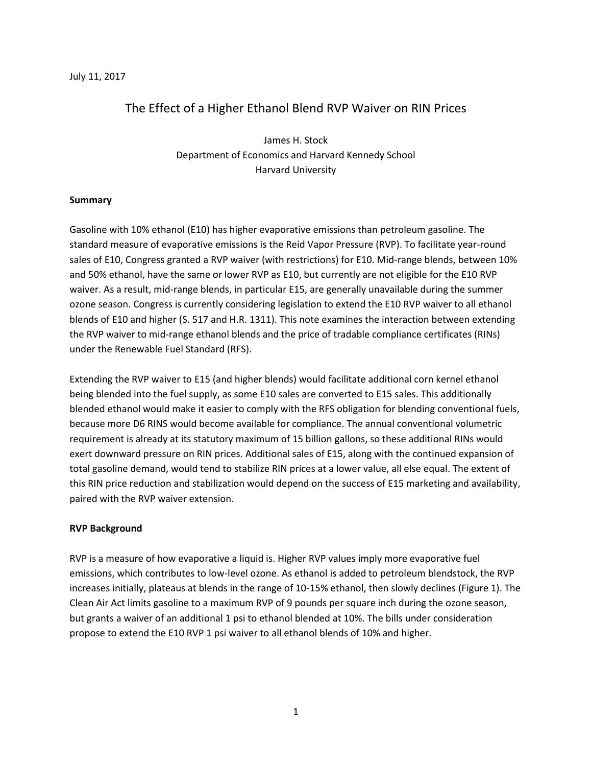#### July 11, 2017

# The Effect of a Higher Ethanol Blend RVP Waiver on RIN Prices

James H. Stock Department of Economics and Harvard Kennedy School Harvard University

## **Summary**

Gasoline with 10% ethanol (E10) has higher evaporative emissions than petroleum gasoline. The standard measure of evaporative emissions is the Reid Vapor Pressure (RVP). To facilitate year-round sales of E10, Congress granted a RVP waiver (with restrictions) for E10. Mid-range blends, between 10% and 50% ethanol, have the same or lower RVP as E10, but currently are not eligible for the E10 RVP waiver. As a result, mid-range blends, in particular E15, are generally unavailable during the summer ozone season. Congress is currently considering legislation to extend the E10 RVP waiver to all ethanol blends of E10 and higher (S. 517 and H.R. 1311). This note examines the interaction between extending the RVP waiver to mid-range ethanol blends and the price of tradable compliance certificates (RINs) under the Renewable Fuel Standard (RFS).

Extending the RVP waiver to E15 (and higher blends) would facilitate additional corn kernel ethanol being blended into the fuel supply, as some E10 sales are converted to E15 sales. This additionally blended ethanol would make it easier to comply with the RFS obligation for blending conventional fuels, because more D6 RINS would become available for compliance. The annual conventional volumetric requirement is already at its statutory maximum of 15 billion gallons, so these additional RINs would exert downward pressure on RIN prices. Additional sales of E15, along with the continued expansion of total gasoline demand, would tend to stabilize RIN prices at a lower value, all else equal. The extent of this RIN price reduction and stabilization would depend on the success of E15 marketing and availability, paired with the RVP waiver extension.

## **RVP Background**

RVP is a measure of how evaporative a liquid is. Higher RVP values imply more evaporative fuel emissions, which contributes to low-level ozone. As ethanol is added to petroleum blendstock, the RVP increases initially, plateaus at blends in the range of 10-15% ethanol, then slowly declines (Figure 1). The Clean Air Act limits gasoline to a maximum RVP of 9 pounds per square inch during the ozone season, but grants a waiver of an additional 1 psi to ethanol blended at 10%. The bills under consideration propose to extend the E10 RVP 1 psi waiver to all ethanol blends of 10% and higher.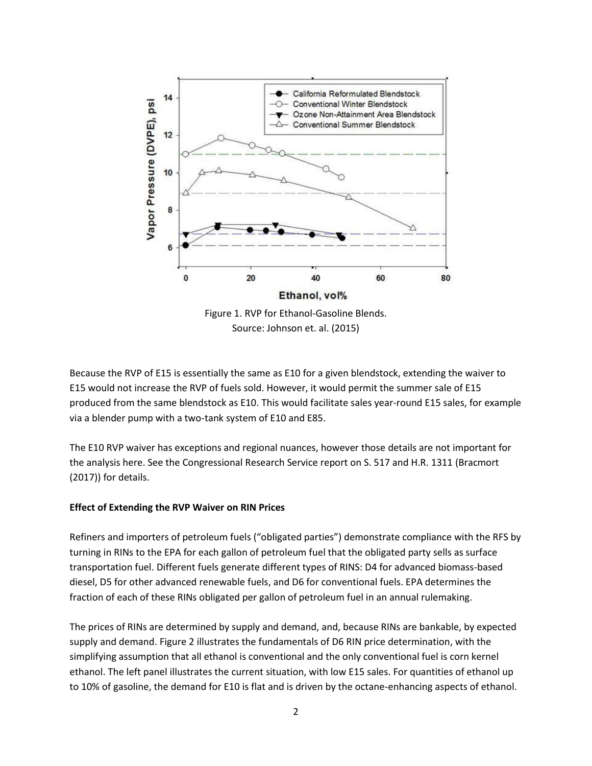

Because the RVP of E15 is essentially the same as E10 for a given blendstock, extending the waiver to E15 would not increase the RVP of fuels sold. However, it would permit the summer sale of E15 produced from the same blendstock as E10. This would facilitate sales year-round E15 sales, for example via a blender pump with a two-tank system of E10 and E85.

The E10 RVP waiver has exceptions and regional nuances, however those details are not important for the analysis here. See the Congressional Research Service report on S. 517 and H.R. 1311 (Bracmort (2017)) for details.

## **Effect of Extending the RVP Waiver on RIN Prices**

Refiners and importers of petroleum fuels ("obligated parties") demonstrate compliance with the RFS by turning in RINs to the EPA for each gallon of petroleum fuel that the obligated party sells as surface transportation fuel. Different fuels generate different types of RINS: D4 for advanced biomass-based diesel, D5 for other advanced renewable fuels, and D6 for conventional fuels. EPA determines the fraction of each of these RINs obligated per gallon of petroleum fuel in an annual rulemaking.

The prices of RINs are determined by supply and demand, and, because RINs are bankable, by expected supply and demand. Figure 2 illustrates the fundamentals of D6 RIN price determination, with the simplifying assumption that all ethanol is conventional and the only conventional fuel is corn kernel ethanol. The left panel illustrates the current situation, with low E15 sales. For quantities of ethanol up to 10% of gasoline, the demand for E10 is flat and is driven by the octane-enhancing aspects of ethanol.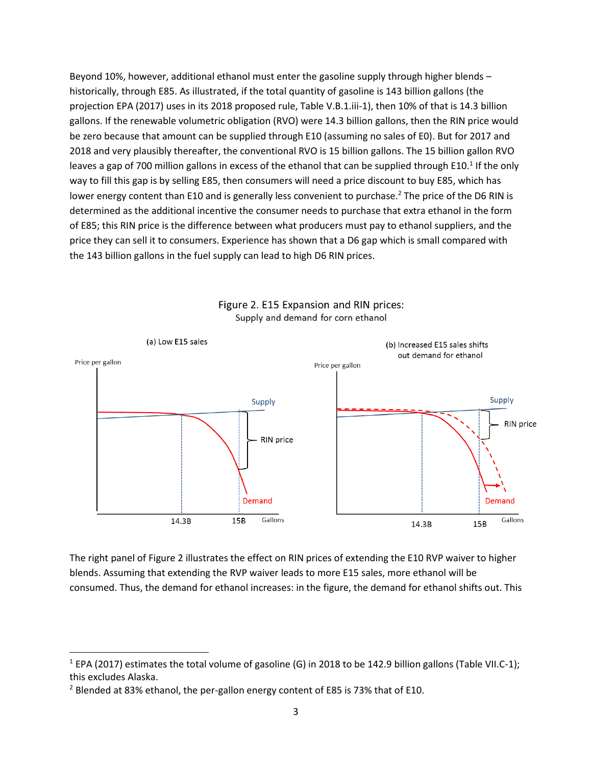Beyond 10%, however, additional ethanol must enter the gasoline supply through higher blends – historically, through E85. As illustrated, if the total quantity of gasoline is 143 billion gallons (the projection EPA (2017) uses in its 2018 proposed rule, Table V.B.1.iii-1), then 10% of that is 14.3 billion gallons. If the renewable volumetric obligation (RVO) were 14.3 billion gallons, then the RIN price would be zero because that amount can be supplied through E10 (assuming no sales of E0). But for 2017 and 2018 and very plausibly thereafter, the conventional RVO is 15 billion gallons. The 15 billion gallon RVO leaves a gap of 700 million gallons in excess of the ethanol that can be supplied through E10.<sup>1</sup> If the only way to fill this gap is by selling E85, then consumers will need a price discount to buy E85, which has lower energy content than E10 and is generally less convenient to purchase.<sup>2</sup> The price of the D6 RIN is determined as the additional incentive the consumer needs to purchase that extra ethanol in the form of E85; this RIN price is the difference between what producers must pay to ethanol suppliers, and the price they can sell it to consumers. Experience has shown that a D6 gap which is small compared with the 143 billion gallons in the fuel supply can lead to high D6 RIN prices.



Figure 2. E15 Expansion and RIN prices: Supply and demand for corn ethanol

The right panel of Figure 2 illustrates the effect on RIN prices of extending the E10 RVP waiver to higher blends. Assuming that extending the RVP waiver leads to more E15 sales, more ethanol will be consumed. Thus, the demand for ethanol increases: in the figure, the demand for ethanol shifts out. This

 $\overline{a}$ 

 $1$  EPA (2017) estimates the total volume of gasoline (G) in 2018 to be 142.9 billion gallons (Table VII.C-1); this excludes Alaska.

<sup>&</sup>lt;sup>2</sup> Blended at 83% ethanol, the per-gallon energy content of E85 is 73% that of E10.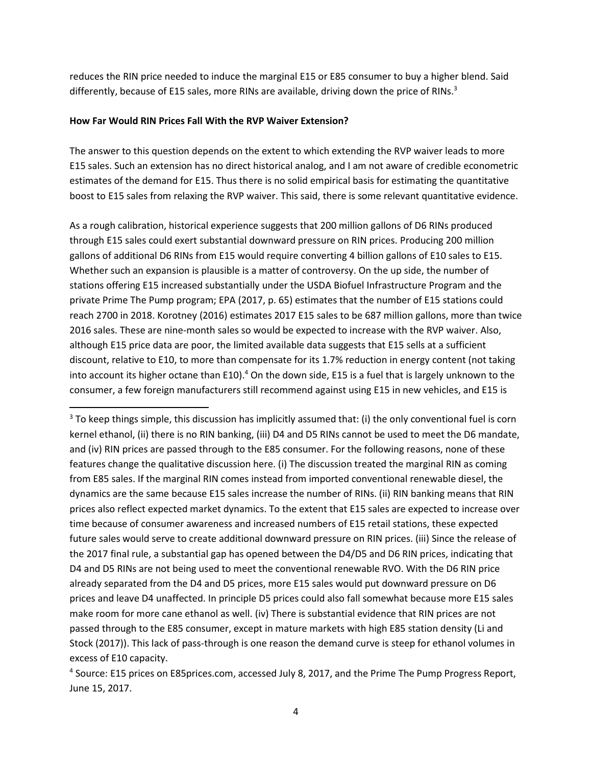reduces the RIN price needed to induce the marginal E15 or E85 consumer to buy a higher blend. Said differently, because of E15 sales, more RINs are available, driving down the price of RINs.<sup>3</sup>

#### **How Far Would RIN Prices Fall With the RVP Waiver Extension?**

 $\overline{a}$ 

The answer to this question depends on the extent to which extending the RVP waiver leads to more E15 sales. Such an extension has no direct historical analog, and I am not aware of credible econometric estimates of the demand for E15. Thus there is no solid empirical basis for estimating the quantitative boost to E15 sales from relaxing the RVP waiver. This said, there is some relevant quantitative evidence.

As a rough calibration, historical experience suggests that 200 million gallons of D6 RINs produced through E15 sales could exert substantial downward pressure on RIN prices. Producing 200 million gallons of additional D6 RINs from E15 would require converting 4 billion gallons of E10 sales to E15. Whether such an expansion is plausible is a matter of controversy. On the up side, the number of stations offering E15 increased substantially under the USDA Biofuel Infrastructure Program and the private Prime The Pump program; EPA (2017, p. 65) estimates that the number of E15 stations could reach 2700 in 2018. Korotney (2016) estimates 2017 E15 sales to be 687 million gallons, more than twice 2016 sales. These are nine-month sales so would be expected to increase with the RVP waiver. Also, although E15 price data are poor, the limited available data suggests that E15 sells at a sufficient discount, relative to E10, to more than compensate for its 1.7% reduction in energy content (not taking into account its higher octane than E10).<sup>4</sup> On the down side, E15 is a fuel that is largely unknown to the consumer, a few foreign manufacturers still recommend against using E15 in new vehicles, and E15 is

 $3$  To keep things simple, this discussion has implicitly assumed that: (i) the only conventional fuel is corn kernel ethanol, (ii) there is no RIN banking, (iii) D4 and D5 RINs cannot be used to meet the D6 mandate, and (iv) RIN prices are passed through to the E85 consumer. For the following reasons, none of these features change the qualitative discussion here. (i) The discussion treated the marginal RIN as coming from E85 sales. If the marginal RIN comes instead from imported conventional renewable diesel, the dynamics are the same because E15 sales increase the number of RINs. (ii) RIN banking means that RIN prices also reflect expected market dynamics. To the extent that E15 sales are expected to increase over time because of consumer awareness and increased numbers of E15 retail stations, these expected future sales would serve to create additional downward pressure on RIN prices. (iii) Since the release of the 2017 final rule, a substantial gap has opened between the D4/D5 and D6 RIN prices, indicating that D4 and D5 RINs are not being used to meet the conventional renewable RVO. With the D6 RIN price already separated from the D4 and D5 prices, more E15 sales would put downward pressure on D6 prices and leave D4 unaffected. In principle D5 prices could also fall somewhat because more E15 sales make room for more cane ethanol as well. (iv) There is substantial evidence that RIN prices are not passed through to the E85 consumer, except in mature markets with high E85 station density (Li and Stock (2017)). This lack of pass-through is one reason the demand curve is steep for ethanol volumes in excess of E10 capacity.

<sup>&</sup>lt;sup>4</sup> Source: E15 prices on E85prices.com, accessed July 8, 2017, and the Prime The Pump Progress Report, June 15, 2017.